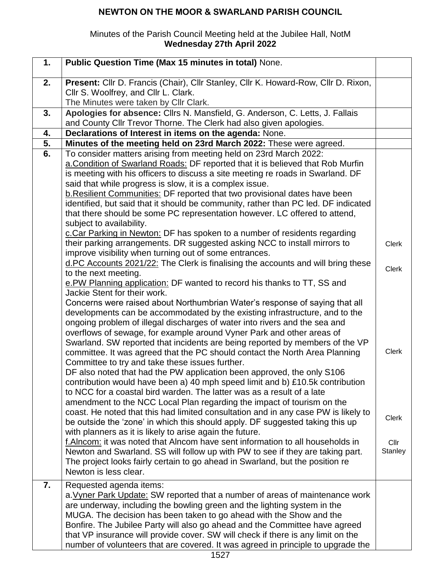# **NEWTON ON THE MOOR & SWARLAND PARISH COUNCIL**

### Minutes of the Parish Council Meeting held at the Jubilee Hall, NotM **Wednesday 27th April 2022**

| 1. | Public Question Time (Max 15 minutes in total) None.                                                                                                                                                                                                                                                                                                                                                                                                                                                                                           |                 |
|----|------------------------------------------------------------------------------------------------------------------------------------------------------------------------------------------------------------------------------------------------------------------------------------------------------------------------------------------------------------------------------------------------------------------------------------------------------------------------------------------------------------------------------------------------|-----------------|
| 2. | Present: Cllr D. Francis (Chair), Cllr Stanley, Cllr K. Howard-Row, Cllr D. Rixon,<br>Cllr S. Woolfrey, and Cllr L. Clark.                                                                                                                                                                                                                                                                                                                                                                                                                     |                 |
| 3. | The Minutes were taken by Cllr Clark.<br>Apologies for absence: Cllrs N. Mansfield, G. Anderson, C. Letts, J. Fallais                                                                                                                                                                                                                                                                                                                                                                                                                          |                 |
|    | and County Cllr Trevor Thorne. The Clerk had also given apologies.                                                                                                                                                                                                                                                                                                                                                                                                                                                                             |                 |
| 4. | Declarations of Interest in items on the agenda: None.                                                                                                                                                                                                                                                                                                                                                                                                                                                                                         |                 |
| 5. | Minutes of the meeting held on 23rd March 2022: These were agreed.                                                                                                                                                                                                                                                                                                                                                                                                                                                                             |                 |
| 6. | To consider matters arising from meeting held on 23rd March 2022:<br>a. Condition of Swarland Roads: DF reported that it is believed that Rob Murfin<br>is meeting with his officers to discuss a site meeting re roads in Swarland. DF<br>said that while progress is slow, it is a complex issue.<br><b>b. Resilient Communities: DF reported that two provisional dates have been</b>                                                                                                                                                       |                 |
|    | identified, but said that it should be community, rather than PC led. DF indicated<br>that there should be some PC representation however. LC offered to attend,<br>subject to availability.<br>c. Car Parking in Newton: DF has spoken to a number of residents regarding                                                                                                                                                                                                                                                                     |                 |
|    | their parking arrangements. DR suggested asking NCC to install mirrors to<br>improve visibility when turning out of some entrances.                                                                                                                                                                                                                                                                                                                                                                                                            | <b>Clerk</b>    |
|    | d.PC Accounts 2021/22: The Clerk is finalising the accounts and will bring these<br>to the next meeting.<br>e. PW Planning application: DF wanted to record his thanks to TT, SS and<br>Jackie Stent for their work.                                                                                                                                                                                                                                                                                                                           | <b>Clerk</b>    |
|    | Concerns were raised about Northumbrian Water's response of saying that all<br>developments can be accommodated by the existing infrastructure, and to the<br>ongoing problem of illegal discharges of water into rivers and the sea and<br>overflows of sewage, for example around Vyner Park and other areas of<br>Swarland. SW reported that incidents are being reported by members of the VP<br>committee. It was agreed that the PC should contact the North Area Planning<br>Committee to try and take these issues further.            | <b>Clerk</b>    |
|    | DF also noted that had the PW application been approved, the only S106<br>contribution would have been a) 40 mph speed limit and b) £10.5k contribution<br>to NCC for a coastal bird warden. The latter was as a result of a late<br>amendment to the NCC Local Plan regarding the impact of tourism on the<br>coast. He noted that this had limited consultation and in any case PW is likely to<br>be outside the 'zone' in which this should apply. DF suggested taking this up<br>with planners as it is likely to arise again the future. | Clerk           |
|    | f.Alncom: it was noted that Alncom have sent information to all households in<br>Newton and Swarland. SS will follow up with PW to see if they are taking part.<br>The project looks fairly certain to go ahead in Swarland, but the position re<br>Newton is less clear.                                                                                                                                                                                                                                                                      | Cllr<br>Stanley |
| 7. | Requested agenda items:<br>a. Vyner Park Update: SW reported that a number of areas of maintenance work<br>are underway, including the bowling green and the lighting system in the<br>MUGA. The decision has been taken to go ahead with the Show and the<br>Bonfire. The Jubilee Party will also go ahead and the Committee have agreed<br>that VP insurance will provide cover. SW will check if there is any limit on the<br>number of volunteers that are covered. It was agreed in principle to upgrade the                              |                 |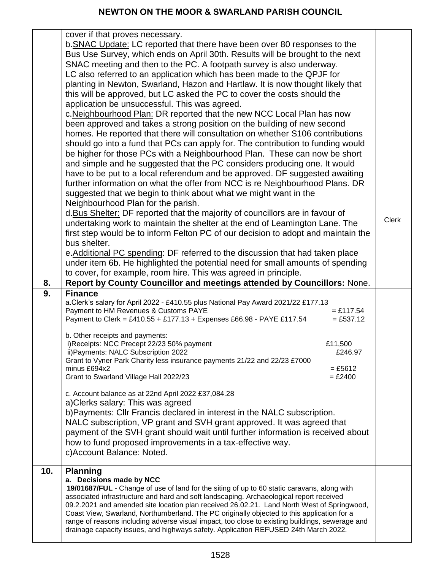|     | cover if that proves necessary.                                                                                                                                                               |              |
|-----|-----------------------------------------------------------------------------------------------------------------------------------------------------------------------------------------------|--------------|
|     | b. SNAC Update: LC reported that there have been over 80 responses to the                                                                                                                     |              |
|     | Bus Use Survey, which ends on April 30th. Results will be brought to the next                                                                                                                 |              |
|     | SNAC meeting and then to the PC. A footpath survey is also underway.                                                                                                                          |              |
|     | LC also referred to an application which has been made to the QPJF for                                                                                                                        |              |
|     | planting in Newton, Swarland, Hazon and Hartlaw. It is now thought likely that                                                                                                                |              |
|     | this will be approved, but LC asked the PC to cover the costs should the                                                                                                                      |              |
|     | application be unsuccessful. This was agreed.                                                                                                                                                 |              |
|     | c. Neighbourhood Plan: DR reported that the new NCC Local Plan has now                                                                                                                        |              |
|     |                                                                                                                                                                                               |              |
|     | been approved and takes a strong position on the building of new second                                                                                                                       |              |
|     | homes. He reported that there will consultation on whether S106 contributions                                                                                                                 |              |
|     | should go into a fund that PCs can apply for. The contribution to funding would                                                                                                               |              |
|     | be higher for those PCs with a Neighbourhood Plan. These can now be short                                                                                                                     |              |
|     | and simple and he suggested that the PC considers producing one. It would                                                                                                                     |              |
|     | have to be put to a local referendum and be approved. DF suggested awaiting                                                                                                                   |              |
|     | further information on what the offer from NCC is re Neighbourhood Plans. DR                                                                                                                  |              |
|     | suggested that we begin to think about what we might want in the                                                                                                                              |              |
|     | Neighbourhood Plan for the parish.                                                                                                                                                            |              |
|     | d. Bus Shelter: DF reported that the majority of councillors are in favour of                                                                                                                 | <b>Clerk</b> |
|     | undertaking work to maintain the shelter at the end of Leamington Lane. The                                                                                                                   |              |
|     | first step would be to inform Felton PC of our decision to adopt and maintain the                                                                                                             |              |
|     | bus shelter.                                                                                                                                                                                  |              |
|     | e. Additional PC spending: DF referred to the discussion that had taken place                                                                                                                 |              |
|     | under item 6b. He highlighted the potential need for small amounts of spending                                                                                                                |              |
|     | to cover, for example, room hire. This was agreed in principle.                                                                                                                               |              |
| 8.  | Report by County Councillor and meetings attended by Councillors: None.                                                                                                                       |              |
|     |                                                                                                                                                                                               |              |
| 9.  | <b>Finance</b>                                                                                                                                                                                |              |
|     | a.Clerk's salary for April 2022 - £410.55 plus National Pay Award 2021/22 £177.13                                                                                                             |              |
|     | Payment to HM Revenues & Customs PAYE<br>$= £117.54$                                                                                                                                          |              |
|     | Payment to Clerk = £410.55 + £177.13 + Expenses £66.98 - PAYE £117.54<br>$= £537.12$                                                                                                          |              |
|     |                                                                                                                                                                                               |              |
|     | b. Other receipts and payments:                                                                                                                                                               |              |
|     | i)Receipts: NCC Precept 22/23 50% payment<br>£11,500                                                                                                                                          |              |
|     | ii) Payments: NALC Subscription 2022<br>£246.97<br>Grant to Vyner Park Charity less insurance payments 21/22 and 22/23 £7000                                                                  |              |
|     | minus £694x2<br>$= £5612$                                                                                                                                                                     |              |
|     | Grant to Swarland Village Hall 2022/23<br>$= £2400$                                                                                                                                           |              |
|     |                                                                                                                                                                                               |              |
|     | c. Account balance as at 22nd April 2022 £37,084.28                                                                                                                                           |              |
|     | a) Clerks salary: This was agreed                                                                                                                                                             |              |
|     | b) Payments: Cllr Francis declared in interest in the NALC subscription.                                                                                                                      |              |
|     | NALC subscription, VP grant and SVH grant approved. It was agreed that                                                                                                                        |              |
|     | payment of the SVH grant should wait until further information is received about                                                                                                              |              |
|     | how to fund proposed improvements in a tax-effective way.                                                                                                                                     |              |
|     | c) Account Balance: Noted.                                                                                                                                                                    |              |
| 10. | <b>Planning</b>                                                                                                                                                                               |              |
|     | a. Decisions made by NCC                                                                                                                                                                      |              |
|     | 19/01687/FUL - Change of use of land for the siting of up to 60 static caravans, along with                                                                                                   |              |
|     | associated infrastructure and hard and soft landscaping. Archaeological report received                                                                                                       |              |
|     | 09.2.2021 and amended site location plan received 26.02.21. Land North West of Springwood,                                                                                                    |              |
|     | Coast View, Swarland, Northumberland. The PC originally objected to this application for a<br>range of reasons including adverse visual impact, too close to existing buildings, sewerage and |              |
|     | drainage capacity issues, and highways safety. Application REFUSED 24th March 2022.                                                                                                           |              |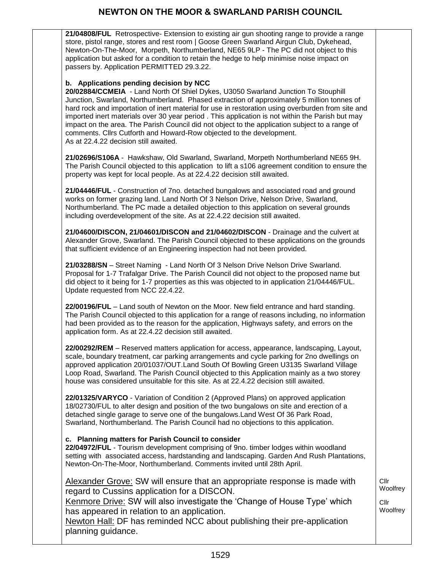**21/04808/FUL** Retrospective- Extension to existing air gun shooting range to provide a range store, pistol range, stores and rest room | Goose Green Swarland Airgun Club, Dykehead, Newton-On-The-Moor, Morpeth, Northumberland, NE65 9LP - The PC did not object to this application but asked for a condition to retain the hedge to help minimise noise impact on passers by. Application PERMITTED 29.3.22.

### **b. Applications pending decision by NCC**

**20/02884/CCMEIA** - Land North Of Shiel Dykes, U3050 Swarland Junction To Stouphill Junction, Swarland, Northumberland. [Phased extraction of approximately 5 million tonnes of](https://publicaccess.northumberland.gov.uk/online-applications/applicationDetails.do?keyVal=QG2VL9QS0K500&activeTab=summary)  [hard rock and importation of inert material for use in restoration using overburden from site and](https://publicaccess.northumberland.gov.uk/online-applications/applicationDetails.do?keyVal=QG2VL9QS0K500&activeTab=summary)  [imported inert materials over 30 year period](https://publicaccess.northumberland.gov.uk/online-applications/applicationDetails.do?keyVal=QG2VL9QS0K500&activeTab=summary) . This application is not within the Parish but may impact on the area. The Parish Council did not object to the application subject to a range of comments. Cllrs Cutforth and Howard-Row objected to the development. As at 22.4.22 decision still awaited.

**21/02696/S106A** - Hawkshaw, Old Swarland, Swarland, Morpeth Northumberland NE65 9H. The Parish Council objected to this application to lift a s106 agreement condition to ensure the property was kept for local people. As at 22.4.22 decision still awaited.

**21/04446/FUL** - Construction of 7no. detached bungalows and associated road and ground works on former grazing land. Land North Of 3 Nelson Drive, Nelson Drive, Swarland, Northumberland. The PC made a detailed objection to this application on several grounds including overdevelopment of the site. As at 22.4.22 decision still awaited.

**21/04600/DISCON, 21/04601/DISCON and 21/04602/DISCON** - Drainage and the culvert at Alexander Grove, Swarland. The Parish Council objected to these applications on the grounds that sufficient evidence of an Engineering inspection had not been provided.

**21/03288/SN** – Street Naming - Land North Of 3 Nelson Drive Nelson Drive Swarland. Proposal for 1-7 Trafalgar Drive. The Parish Council did not object to the proposed name but did object to it being for 1-7 properties as this was objected to in application 21/04446/FUL. Update requested from NCC 22.4.22.

**22/00196/FUL** – Land south of Newton on the Moor. New field entrance and hard standing. The Parish Council objected to this application for a range of reasons including, no information had been provided as to the reason for the application, Highways safety, and errors on the application form. As at 22.4.22 decision still awaited.

**22/00292/REM** – Reserved matters application for access, appearance, landscaping, Layout, scale, boundary treatment, car parking arrangements and cycle parking for 2no dwellings on approved application 20/01037/OUT.Land South Of Bowling Green U3135 Swarland Village Loop Road, Swarland. The Parish Council objected to this Application mainly as a two storey house was considered unsuitable for this site. As at 22.4.22 decision still awaited.

**22/01325/VARYCO** - Variation of Condition 2 (Approved Plans) on approved application 18/02730/FUL to alter design and position of the two bungalows on site and erection of a detached single garage to serve one of the bungalows.Land West Of 36 Park Road, Swarland, Northumberland. The Parish Council had no objections to this application.

#### **c. Planning matters for Parish Council to consider**

**22/04972/FUL** - Tourism development comprising of 9no. timber lodges within woodland setting with associated access, hardstanding and landscaping. Garden And Rush Plantations, Newton-On-The-Moor, Northumberland. Comments invited until 28th April.

> Cllr **Woolfrey**

Cllr **Woolfrey** 

Alexander Grove: SW will ensure that an appropriate response is made with regard to Cussins application for a DISCON.

Kenmore Drive: SW will also investigate the 'Change of House Type' which has appeared in relation to an application.

Newton Hall: DF has reminded NCC about publishing their pre-application planning guidance.